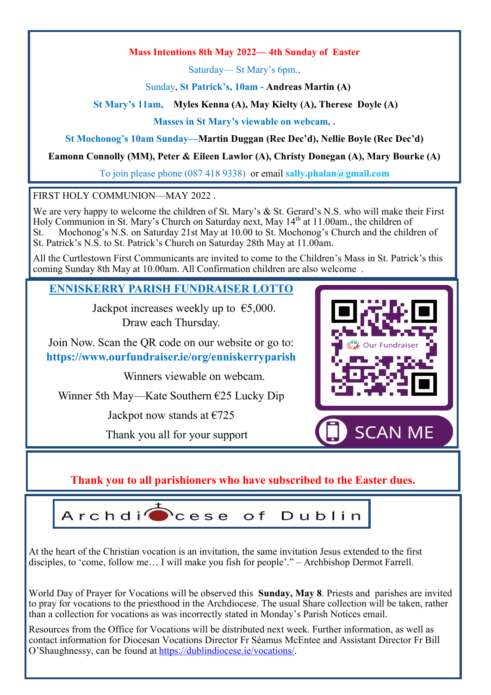### **Mass Intentions 8th May 2022— 4th Sunday of Easter**

Saturday— St Mary's 6pm.,

Sunday, **St Patrick's, 10am - Andreas Martin (A)**

**St Mary's 11am, Myles Kenna (A), May Kielty (A), Therese Doyle (A)**

**Masses in St Mary's viewable on webcam, .**

**St Mochonog's 10am Sunday—Martin Duggan (Rec Dec'd), Nellie Boyle (Rec Dec'd)**

**Eamonn Connolly (MM), Peter & Eileen Lawlor (A), Christy Donegan (A), Mary Bourke (A)**

To join please phone (087 418 9338) or email **sally.phalan@gmail.com** 

FIRST HOLY COMMUNION—MAY 2022 .

We are very happy to welcome the children of St. Mary's & St. Gerard's N.S. who will make their First Holy Communion in St. Mary's Church on Saturday next, May 14<sup>th</sup> at 11.00am., the children of St. Mochonog's N.S. on Saturday 21st May at 10.00 to St. Mochonog's Church and the children of St. Patrick's N.S. to St. Patrick's Church on Saturday 28th May at 11.00am.

All the Curtlestown First Communicants are invited to come to the Children's Mass in St. Patrick's this coming Sunday 8th May at 10.00am. All Confirmation children are also welcome .

# **ENNISKERRY PARISH FUNDRAISER LOTTO**

Jackpot increases weekly up to  $\epsilon$ 5,000. Draw each Thursday.

Join Now. Scan the QR code on our website or go to: **https://www.ourfundraiser.ie/org/enniskerryparish**

Winners viewable on webcam.

Winner 5th May—Kate Southern €25 Lucky Dip

Jackpot now stands at  $\epsilon$ 725

Thank you all for your support



**Thank you to all parishioners who have subscribed to the Easter dues.**

 $Archdi$ cese o f Dublin

At the heart of the Christian vocation is an invitation, the same invitation Jesus extended to the first disciples, to 'come, follow me… I will make you fish for people'." – Archbishop Dermot Farrell.

World Day of Prayer for Vocations will be observed this **Sunday, May 8**. Priests and parishes are invited to pray for vocations to the priesthood in the Archdiocese. The usual Share collection will be taken, rather than a collection for vocations as was incorrectly stated in Monday's Parish Notices email.

Resources from the Office for Vocations will be distributed next week. Further information, as well as contact information for Diocesan Vocations Director Fr Séamus McEntee and Assistant Director Fr Bill O'Shaughnessy, can be found at [https://dublindiocese.ie/vocations/.](https://dublindiocese.ie/vocations/)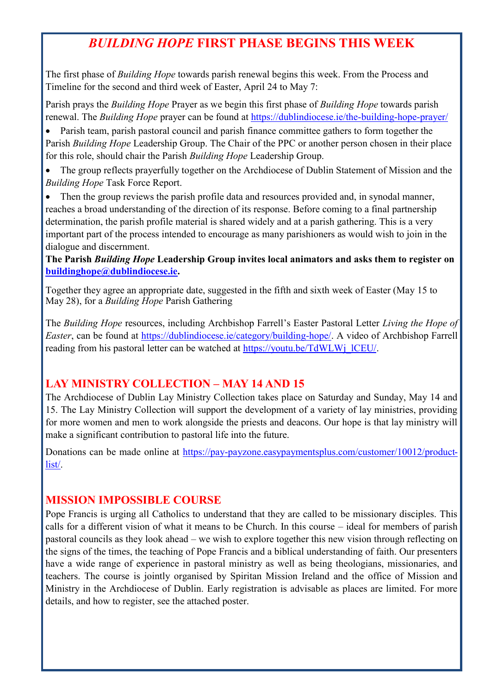# *BUILDING HOPE* **FIRST PHASE BEGINS THIS WEEK**

The first phase of *Building Hope* towards parish renewal begins this week. From the Process and Timeline for the second and third week of Easter, April 24 to May 7:

Parish prays the *Building Hope* Prayer as we begin this first phase of *Building Hope* towards parish renewal. The *Building Hope* prayer can be found at [https://dublindiocese.ie/the](https://dublindiocese.ie/the-building-hope-prayer/)-building-hope-prayer/

• Parish team, parish pastoral council and parish finance committee gathers to form together the Parish *Building Hope* Leadership Group. The Chair of the PPC or another person chosen in their place for this role, should chair the Parish *Building Hope* Leadership Group.

• The group reflects prayerfully together on the Archdiocese of Dublin Statement of Mission and the *Building Hope* Task Force Report.

Then the group reviews the parish profile data and resources provided and, in synodal manner, reaches a broad understanding of the direction of its response. Before coming to a final partnership determination, the parish profile material is shared widely and at a parish gathering. This is a very important part of the process intended to encourage as many parishioners as would wish to join in the dialogue and discernment.

**The Parish** *Building Hope* **Leadership Group invites local animators and asks them to register on [buildinghope@dublindiocese.ie.](mailto:buildinghope@dublindiocese.ie)**

Together they agree an appropriate date, suggested in the fifth and sixth week of Easter (May 15 to May 28), for a *Building Hope* Parish Gathering

The *Building Hope* resources, including Archbishop Farrell's Easter Pastoral Letter *Living the Hope of Easter*, can be found at [https://dublindiocese.ie/category/building](https://dublindiocese.ie/category/building-hope/)-hope/. A video of Archbishop Farrell reading from his pastoral letter can be watched at [https://youtu.be/TdWLWj\\_lCEU/.](https://youtu.be/TdWLWj_lCEU/)

# **LAY MINISTRY COLLECTION – MAY 14 AND 15**

The Archdiocese of Dublin Lay Ministry Collection takes place on Saturday and Sunday, May 14 and 15. The Lay Ministry Collection will support the development of a variety of lay ministries, providing for more women and men to work alongside the priests and deacons. Our hope is that lay ministry will make a significant contribution to pastoral life into the future.

Donations can be made online at https://pay-[payzone.easypaymentsplus.com/customer/10012/product](https://pay-payzone.easypaymentsplus.com/customer/10012/product-list/)[list/.](https://pay-payzone.easypaymentsplus.com/customer/10012/product-list/)

# **MISSION IMPOSSIBLE COURSE**

Pope Francis is urging all Catholics to understand that they are called to be missionary disciples. This calls for a different vision of what it means to be Church. In this course – ideal for members of parish pastoral councils as they look ahead – we wish to explore together this new vision through reflecting on the signs of the times, the teaching of Pope Francis and a biblical understanding of faith. Our presenters have a wide range of experience in pastoral ministry as well as being theologians, missionaries, and teachers. The course is jointly organised by Spiritan Mission Ireland and the office of Mission and Ministry in the Archdiocese of Dublin. Early registration is advisable as places are limited. For more details, and how to register, see the attached poster.